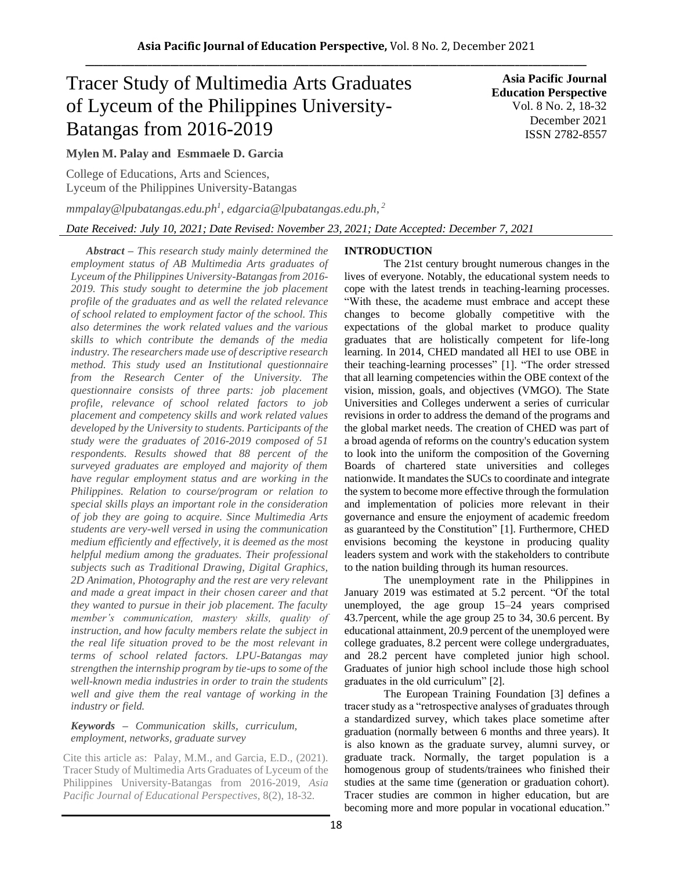# Tracer Study of Multimedia Arts Graduates of Lyceum of the Philippines University-Batangas from 2016-2019

**Asia Pacific Journal Education Perspective** Vol. 8 No. 2, 18-32 December 2021 ISSN 2782-8557

# **Mylen M. Palay and Esmmaele D. Garcia**

College of Educations, Arts and Sciences, Lyceum of the Philippines University-Batangas

*mmpalay@lpubatangas.edu.ph<sup>1</sup> , edgarcia@lpubatangas.edu.ph, 2*

*Date Received: July 10, 2021; Date Revised: November 23, 2021; Date Accepted: December 7, 2021*

*Abstract – This research study mainly determined the employment status of AB Multimedia Arts graduates of Lyceum of the Philippines University-Batangas from 2016- 2019. This study sought to determine the job placement profile of the graduates and as well the related relevance of school related to employment factor of the school. This also determines the work related values and the various skills to which contribute the demands of the media industry. The researchers made use of descriptive research method. This study used an Institutional questionnaire from the Research Center of the University. The questionnaire consists of three parts: job placement profile, relevance of school related factors to job placement and competency skills and work related values developed by the University to students. Participants of the study were the graduates of 2016-2019 composed of 51 respondents. Results showed that 88 percent of the surveyed graduates are employed and majority of them have regular employment status and are working in the Philippines. Relation to course/program or relation to special skills plays an important role in the consideration of job they are going to acquire. Since Multimedia Arts students are very-well versed in using the communication medium efficiently and effectively, it is deemed as the most helpful medium among the graduates. Their professional subjects such as Traditional Drawing, Digital Graphics, 2D Animation, Photography and the rest are very relevant and made a great impact in their chosen career and that they wanted to pursue in their job placement. The faculty member's communication, mastery skills, quality of instruction, and how faculty members relate the subject in the real life situation proved to be the most relevant in terms of school related factors. LPU-Batangas may strengthen the internship program by tie-ups to some of the well-known media industries in order to train the students well and give them the real vantage of working in the industry or field.*

# *Keywords – Communication skills, curriculum, employment, networks, graduate survey*

Cite this article as: Palay, M.M., and Garcia, E.D., (2021). Tracer Study of Multimedia Arts Graduates of Lyceum of the Philippines University-Batangas from 2016-2019, *Asia Pacific Journal of Educational Perspectives,* 8(2), 18-32*.*

# **INTRODUCTION**

The 21st century brought numerous changes in the lives of everyone. Notably, the educational system needs to cope with the latest trends in teaching-learning processes. "With these, the academe must embrace and accept these changes to become globally competitive with the expectations of the global market to produce quality graduates that are holistically competent for life-long learning. In 2014, CHED mandated all HEI to use OBE in their teaching-learning processes" [1]. "The order stressed that all learning competencies within the OBE context of the vision, mission, goals, and objectives (VMGO). The State Universities and Colleges underwent a series of curricular revisions in order to address the demand of the programs and the global market needs. The creation of CHED was part of a broad agenda of reforms on the country's education system to look into the uniform the composition of the Governing Boards of chartered state universities and colleges nationwide. It mandates the SUCs to coordinate and integrate the system to become more effective through the formulation and implementation of policies more relevant in their governance and ensure the enjoyment of academic freedom as guaranteed by the Constitution" [1]. Furthermore, CHED envisions becoming the keystone in producing quality leaders system and work with the stakeholders to contribute to the nation building through its human resources.

The unemployment rate in the Philippines in January 2019 was estimated at 5.2 percent. "Of the total unemployed, the age group 15–24 years comprised 43.7percent, while the age group 25 to 34, 30.6 percent. By educational attainment, 20.9 percent of the unemployed were college graduates, 8.2 percent were college undergraduates, and 28.2 percent have completed junior high school. Graduates of junior high school include those high school graduates in the old curriculum" [2].

The European Training Foundation [3] defines a tracer study as a "retrospective analyses of graduates through a standardized survey, which takes place sometime after graduation (normally between 6 months and three years). It is also known as the graduate survey, alumni survey, or graduate track. Normally, the target population is a homogenous group of students/trainees who finished their studies at the same time (generation or graduation cohort). Tracer studies are common in higher education, but are becoming more and more popular in vocational education."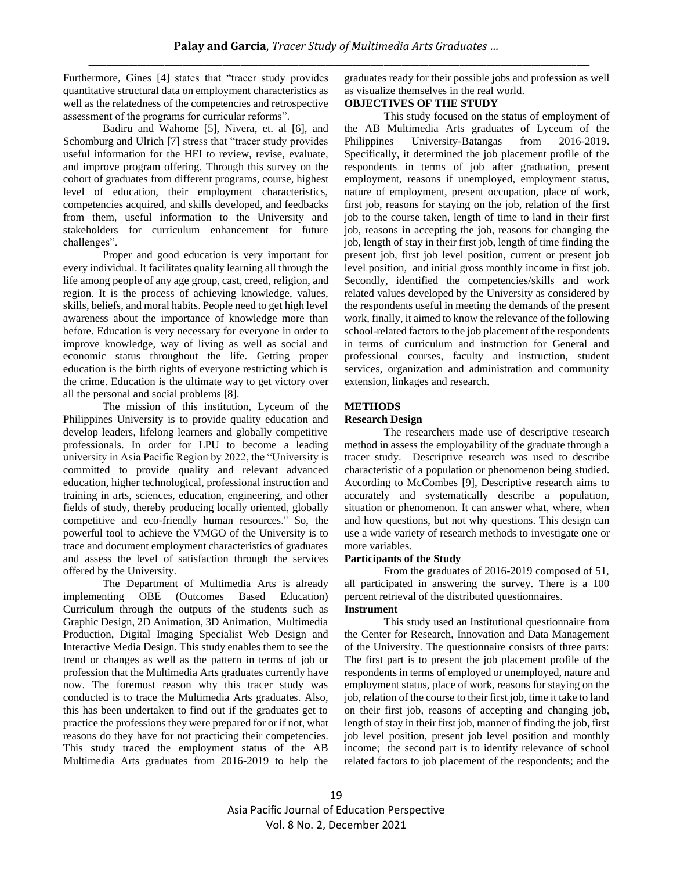Furthermore, Gines [4] states that "tracer study provides quantitative structural data on employment characteristics as well as the relatedness of the competencies and retrospective assessment of the programs for curricular reforms".

Badiru and Wahome [5], Nivera, et. al [6], and Schomburg and Ulrich [7] stress that "tracer study provides useful information for the HEI to review, revise, evaluate, and improve program offering. Through this survey on the cohort of graduates from different programs, course, highest level of education, their employment characteristics, competencies acquired, and skills developed, and feedbacks from them, useful information to the University and stakeholders for curriculum enhancement for future challenges".

Proper and good education is very important for every individual. It facilitates quality learning all through the life among people of any age group, cast, creed, religion, and region. It is the process of achieving knowledge, values, skills, beliefs, and moral habits. People need to get high level awareness about the importance of knowledge more than before. Education is very necessary for everyone in order to improve knowledge, way of living as well as social and economic status throughout the life. Getting proper education is the birth rights of everyone restricting which is the crime. Education is the ultimate way to get victory over all the personal and social problems [8].

The mission of this institution, Lyceum of the Philippines University is to provide quality education and develop leaders, lifelong learners and globally competitive professionals. In order for LPU to become a leading university in Asia Pacific Region by 2022, the "University is committed to provide quality and relevant advanced education, higher technological, professional instruction and training in arts, sciences, education, engineering, and other fields of study, thereby producing locally oriented, globally competitive and eco-friendly human resources." So, the powerful tool to achieve the VMGO of the University is to trace and document employment characteristics of graduates and assess the level of satisfaction through the services offered by the University.

The Department of Multimedia Arts is already implementing OBE (Outcomes Based Education) Curriculum through the outputs of the students such as Graphic Design, 2D Animation, 3D Animation, Multimedia Production, Digital Imaging Specialist Web Design and Interactive Media Design. This study enables them to see the trend or changes as well as the pattern in terms of job or profession that the Multimedia Arts graduates currently have now. The foremost reason why this tracer study was conducted is to trace the Multimedia Arts graduates. Also, this has been undertaken to find out if the graduates get to practice the professions they were prepared for or if not, what reasons do they have for not practicing their competencies. This study traced the employment status of the AB Multimedia Arts graduates from 2016-2019 to help the graduates ready for their possible jobs and profession as well as visualize themselves in the real world.

## **OBJECTIVES OF THE STUDY**

This study focused on the status of employment of the AB Multimedia Arts graduates of Lyceum of the Philippines University-Batangas from 2016-2019. Specifically, it determined the job placement profile of the respondents in terms of job after graduation, present employment, reasons if unemployed, employment status, nature of employment, present occupation, place of work, first job, reasons for staying on the job, relation of the first job to the course taken, length of time to land in their first job, reasons in accepting the job, reasons for changing the job, length of stay in their first job, length of time finding the present job, first job level position, current or present job level position, and initial gross monthly income in first job. Secondly, identified the competencies/skills and work related values developed by the University as considered by the respondents useful in meeting the demands of the present work, finally, it aimed to know the relevance of the following school-related factors to the job placement of the respondents in terms of curriculum and instruction for General and professional courses, faculty and instruction, student services, organization and administration and community extension, linkages and research.

## **METHODS**

#### **Research Design**

The researchers made use of descriptive research method in assess the employability of the graduate through a tracer study. Descriptive research was used to describe characteristic of a population or phenomenon being studied. According to McCombes [9], Descriptive research aims to accurately and systematically describe a population, situation or phenomenon. It can answer what, where, when and how questions, but not why questions. This design can use a wide variety of research methods to investigate one or more variables.

#### **Participants of the Study**

From the graduates of 2016-2019 composed of 51, all participated in answering the survey. There is a 100 percent retrieval of the distributed questionnaires.

# **Instrument**

This study used an Institutional questionnaire from the Center for Research, Innovation and Data Management of the University. The questionnaire consists of three parts: The first part is to present the job placement profile of the respondents in terms of employed or unemployed, nature and employment status, place of work, reasons for staying on the job, relation of the course to their first job, time it take to land on their first job, reasons of accepting and changing job, length of stay in their first job, manner of finding the job, first job level position, present job level position and monthly income; the second part is to identify relevance of school related factors to job placement of the respondents; and the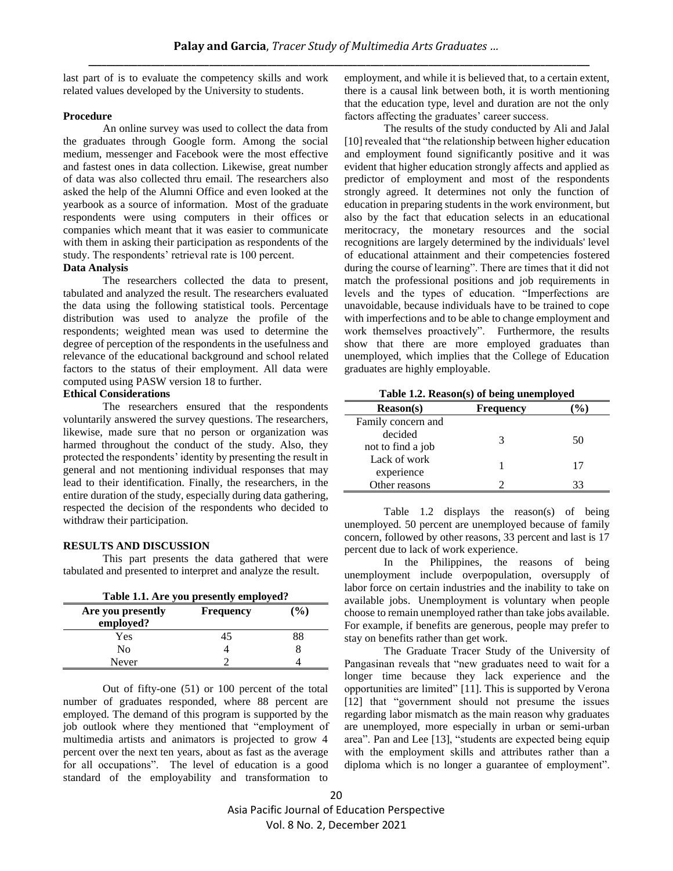last part of is to evaluate the competency skills and work related values developed by the University to students.

#### **Procedure**

An online survey was used to collect the data from the graduates through Google form. Among the social medium, messenger and Facebook were the most effective and fastest ones in data collection. Likewise, great number of data was also collected thru email. The researchers also asked the help of the Alumni Office and even looked at the yearbook as a source of information. Most of the graduate respondents were using computers in their offices or companies which meant that it was easier to communicate with them in asking their participation as respondents of the study. The respondents' retrieval rate is 100 percent.

# **Data Analysis**

The researchers collected the data to present, tabulated and analyzed the result. The researchers evaluated the data using the following statistical tools. Percentage distribution was used to analyze the profile of the respondents; weighted mean was used to determine the degree of perception of the respondents in the usefulness and relevance of the educational background and school related factors to the status of their employment. All data were computed using PASW version 18 to further.

#### **Ethical Considerations**

The researchers ensured that the respondents voluntarily answered the survey questions. The researchers, likewise, made sure that no person or organization was harmed throughout the conduct of the study. Also, they protected the respondents' identity by presenting the result in general and not mentioning individual responses that may lead to their identification. Finally, the researchers, in the entire duration of the study, especially during data gathering, respected the decision of the respondents who decided to withdraw their participation.

#### **RESULTS AND DISCUSSION**

This part presents the data gathered that were tabulated and presented to interpret and analyze the result.

| Table 1.1. Are you presently employed?                    |    |    |  |  |
|-----------------------------------------------------------|----|----|--|--|
| (%)<br>Are you presently<br><b>Frequency</b><br>employed? |    |    |  |  |
| Yes                                                       | 45 | 88 |  |  |
| Nο                                                        |    |    |  |  |
| Never                                                     |    |    |  |  |

Out of fifty-one (51) or 100 percent of the total number of graduates responded, where 88 percent are employed. The demand of this program is supported by the job outlook where they mentioned that "employment of multimedia artists and animators is projected to grow 4 percent over the next ten years, about as fast as the average for all occupations". The level of education is a good standard of the employability and transformation to

employment, and while it is believed that, to a certain extent, there is a causal link between both, it is worth mentioning that the education type, level and duration are not the only factors affecting the graduates' career success.

The results of the study conducted by Ali and Jalal [10] revealed that "the relationship between higher education and employment found significantly positive and it was evident that higher education strongly affects and applied as predictor of employment and most of the respondents strongly agreed. It determines not only the function of education in preparing students in the work environment, but also by the fact that education selects in an educational meritocracy, the monetary resources and the social recognitions are largely determined by the individuals' level of educational attainment and their competencies fostered during the course of learning". There are times that it did not match the professional positions and job requirements in levels and the types of education. "Imperfections are unavoidable, because individuals have to be trained to cope with imperfections and to be able to change employment and work themselves proactively". Furthermore, the results show that there are more employed graduates than unemployed, which implies that the College of Education graduates are highly employable.

|  |  |  | Table 1.2. Reason(s) of being unemployed |
|--|--|--|------------------------------------------|
|--|--|--|------------------------------------------|

| <b>Reason(s)</b>   | <b>Frequency</b> |    |
|--------------------|------------------|----|
| Family concern and |                  |    |
| decided            | 3                | 50 |
| not to find a job  |                  |    |
| Lack of work       |                  | 17 |
| experience         |                  |    |
| Other reasons      |                  |    |

Table 1.2 displays the reason(s) of being unemployed. 50 percent are unemployed because of family concern, followed by other reasons, 33 percent and last is 17 percent due to lack of work experience.

In the Philippines, the reasons of being unemployment include overpopulation, oversupply of labor force on certain industries and the inability to take on available jobs. Unemployment is voluntary when people choose to remain unemployed rather than take jobs available. For example, if benefits are generous, people may prefer to stay on benefits rather than get work.

The Graduate Tracer Study of the University of Pangasinan reveals that "new graduates need to wait for a longer time because they lack experience and the opportunities are limited" [11]. This is supported by Verona [12] that "government should not presume the issues regarding labor mismatch as the main reason why graduates are unemployed, more especially in urban or semi-urban area". Pan and Lee [13], "students are expected being equip with the employment skills and attributes rather than a diploma which is no longer a guarantee of employment".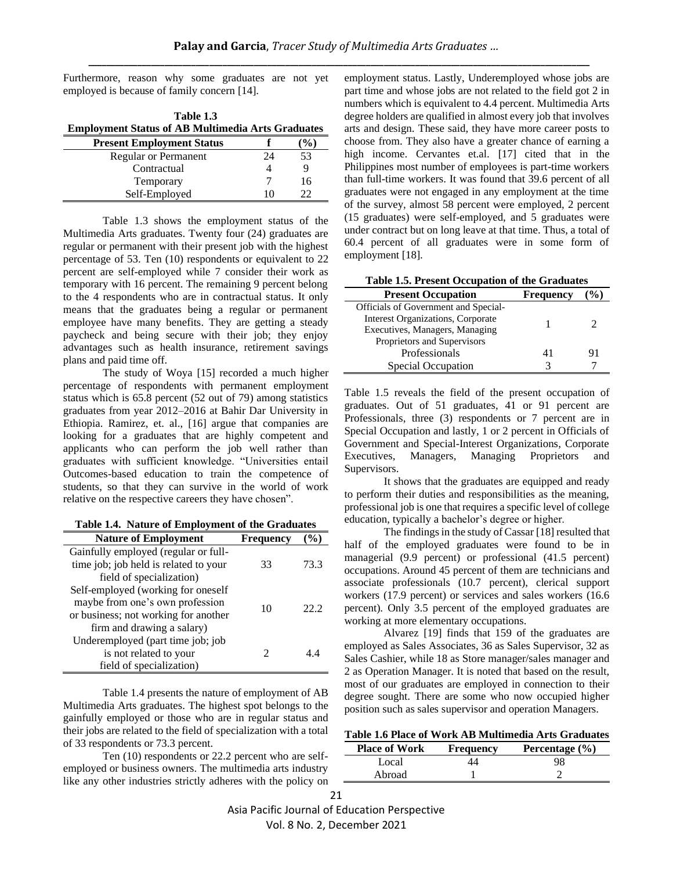Furthermore, reason why some graduates are not yet employed is because of family concern [14].

| Table 1.3                                                |        |
|----------------------------------------------------------|--------|
| <b>Employment Status of AB Multimedia Arts Graduates</b> |        |
| <b>Present Employment Status</b>                         | $($ %) |

|                             |    | .  |
|-----------------------------|----|----|
| <b>Regular or Permanent</b> | 74 | 53 |
| Contractual                 |    |    |
| Temporary                   |    | 16 |
| Self-Employed               |    |    |
|                             |    |    |

Table 1.3 shows the employment status of the Multimedia Arts graduates. Twenty four (24) graduates are regular or permanent with their present job with the highest percentage of 53. Ten (10) respondents or equivalent to 22 percent are self-employed while 7 consider their work as temporary with 16 percent. The remaining 9 percent belong to the 4 respondents who are in contractual status. It only means that the graduates being a regular or permanent employee have many benefits. They are getting a steady paycheck and being secure with their job; they enjoy advantages such as health insurance, retirement savings plans and paid time off.

The study of Woya [15] recorded a much higher percentage of respondents with permanent employment status which is 65.8 percent (52 out of 79) among statistics graduates from year 2012–2016 at Bahir Dar University in Ethiopia. Ramirez, et. al., [16] argue that companies are looking for a graduates that are highly competent and applicants who can perform the job well rather than graduates with sufficient knowledge. "Universities entail Outcomes-based education to train the competence of students, so that they can survive in the world of work relative on the respective careers they have chosen".

| <b>Nature of Employment</b>           | Frequency |      |
|---------------------------------------|-----------|------|
| Gainfully employed (regular or full-  |           |      |
| time job; job held is related to your | 33        | 73.3 |
| field of specialization)              |           |      |
| Self-employed (working for oneself    |           |      |
| maybe from one's own profession       | 10        | 22 Z |
| or business; not working for another  |           |      |
| firm and drawing a salary)            |           |      |
| Underemployed (part time job; job     |           |      |
| is not related to your                |           | 44   |
| field of specialization)              |           |      |

Table 1.4 presents the nature of employment of AB Multimedia Arts graduates. The highest spot belongs to the gainfully employed or those who are in regular status and their jobs are related to the field of specialization with a total of 33 respondents or 73.3 percent.

Ten (10) respondents or 22.2 percent who are selfemployed or business owners. The multimedia arts industry like any other industries strictly adheres with the policy on employment status. Lastly, Underemployed whose jobs are part time and whose jobs are not related to the field got 2 in numbers which is equivalent to 4.4 percent. Multimedia Arts degree holders are qualified in almost every job that involves arts and design. These said, they have more career posts to choose from. They also have a greater chance of earning a high income. Cervantes et.al. [17] cited that in the Philippines most number of employees is part-time workers than full-time workers. It was found that 39.6 percent of all graduates were not engaged in any employment at the time of the survey, almost 58 percent were employed, 2 percent (15 graduates) were self-employed, and 5 graduates were under contract but on long leave at that time. Thus, a total of 60.4 percent of all graduates were in some form of employment [18].

|  |  | Table 1.5. Present Occupation of the Graduates |  |  |
|--|--|------------------------------------------------|--|--|
|--|--|------------------------------------------------|--|--|

| Table 1.5. I resent occupation of the Graduates |           |               |
|-------------------------------------------------|-----------|---------------|
| <b>Present Occupation</b>                       | Frequency | $\frac{1}{2}$ |
| Officials of Government and Special-            |           |               |
| Interest Organizations, Corporate               |           |               |
| Executives, Managers, Managing                  |           |               |
| Proprietors and Supervisors                     |           |               |
| Professionals                                   |           | 91            |
| Special Occupation                              |           |               |

Table 1.5 reveals the field of the present occupation of graduates. Out of 51 graduates, 41 or 91 percent are Professionals, three (3) respondents or 7 percent are in Special Occupation and lastly, 1 or 2 percent in Officials of Government and Special-Interest Organizations, Corporate Executives, Managers, Managing Proprietors and Supervisors.

It shows that the graduates are equipped and ready to perform their duties and responsibilities as the meaning, professional job is one that requires a specific level of college education, typically a bachelor's degree or higher.

The findings in the study of Cassar [18] resulted that half of the employed graduates were found to be in managerial (9.9 percent) or professional (41.5 percent) occupations. Around 45 percent of them are technicians and associate professionals (10.7 percent), clerical support workers (17.9 percent) or services and sales workers (16.6 percent). Only 3.5 percent of the employed graduates are working at more elementary occupations.

Alvarez [19] finds that 159 of the graduates are employed as Sales Associates, 36 as Sales Supervisor, 32 as Sales Cashier, while 18 as Store manager/sales manager and 2 as Operation Manager. It is noted that based on the result, most of our graduates are employed in connection to their degree sought. There are some who now occupied higher position such as sales supervisor and operation Managers.

| Table 1.6 Place of Work AB Multimedia Arts Graduates |  |  |  |
|------------------------------------------------------|--|--|--|
|------------------------------------------------------|--|--|--|

| <b>Place of Work</b> | <b>Frequency</b> | Percentage $(\% )$ |
|----------------------|------------------|--------------------|
| Local                |                  | 98                 |
| Abroad               |                  |                    |

Asia Pacific Journal of Education Perspective

Vol. 8 No. 2, December 2021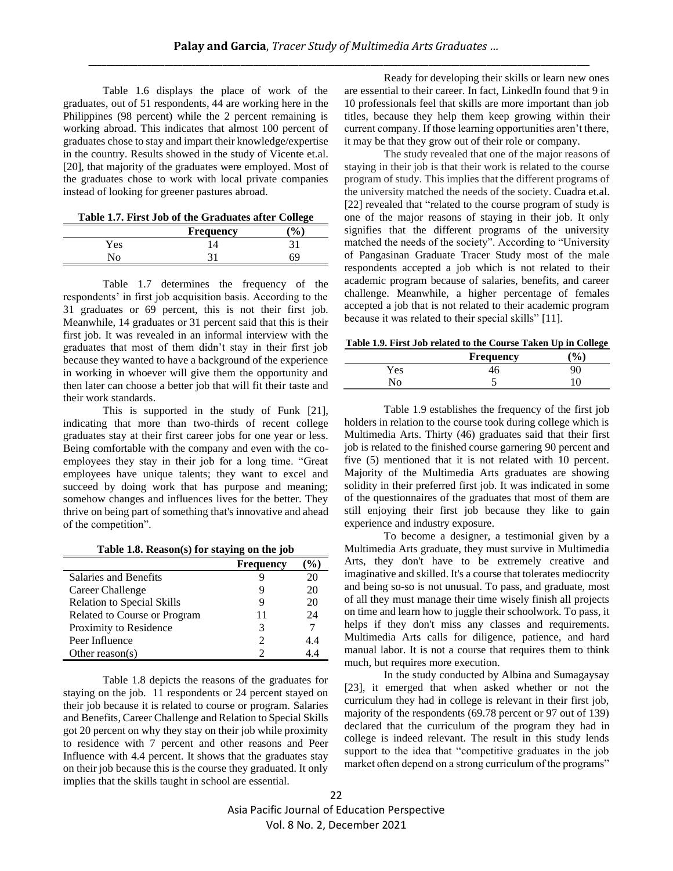Table 1.6 displays the place of work of the graduates, out of 51 respondents, 44 are working here in the Philippines (98 percent) while the 2 percent remaining is working abroad. This indicates that almost 100 percent of graduates chose to stay and impart their knowledge/expertise in the country. Results showed in the study of Vicente et.al. [20], that majority of the graduates were employed. Most of the graduates chose to work with local private companies instead of looking for greener pastures abroad.

| Table 1.7. First Job of the Graduates after College |  |  |  |  |
|-----------------------------------------------------|--|--|--|--|
|-----------------------------------------------------|--|--|--|--|

|     |                  | ---- |
|-----|------------------|------|
|     | <b>Frequency</b> |      |
| Yes |                  |      |
|     |                  |      |
|     |                  |      |

Table 1.7 determines the frequency of the respondents' in first job acquisition basis. According to the 31 graduates or 69 percent, this is not their first job. Meanwhile, 14 graduates or 31 percent said that this is their first job. It was revealed in an informal interview with the graduates that most of them didn't stay in their first job because they wanted to have a background of the experience in working in whoever will give them the opportunity and then later can choose a better job that will fit their taste and their work standards.

This is supported in the study of Funk [21], indicating that more than two-thirds of recent college graduates stay at their first career jobs for one year or less. Being comfortable with the company and even with the coemployees they stay in their job for a long time. "Great employees have unique talents; they want to excel and succeed by doing work that has purpose and meaning; somehow changes and influences lives for the better. They thrive on being part of something that's innovative and ahead of the competition".

|  |  | Table 1.8. Reason(s) for staying on the job |  |  |  |  |
|--|--|---------------------------------------------|--|--|--|--|
|--|--|---------------------------------------------|--|--|--|--|

|                                   | <b>Frequency</b> | $\frac{0}{0}$ |
|-----------------------------------|------------------|---------------|
| Salaries and Benefits             |                  | 20            |
| Career Challenge                  |                  | 20            |
| <b>Relation to Special Skills</b> |                  | 20            |
| Related to Course or Program      | 11               | 24            |
| Proximity to Residence            |                  |               |
| Peer Influence                    |                  | 4.4           |
| Other reason(s)                   |                  |               |

Table 1.8 depicts the reasons of the graduates for staying on the job. 11 respondents or 24 percent stayed on their job because it is related to course or program. Salaries and Benefits, Career Challenge and Relation to Special Skills got 20 percent on why they stay on their job while proximity to residence with 7 percent and other reasons and Peer Influence with 4.4 percent. It shows that the graduates stay on their job because this is the course they graduated. It only implies that the skills taught in school are essential.

Ready for developing their skills or learn new ones are essential to their career. In fact, LinkedIn found that 9 in 10 professionals feel that skills are more important than job titles, because they help them keep growing within their current company. If those learning opportunities aren't there, it may be that they grow out of their role or company.

The study revealed that one of the major reasons of staying in their job is that their work is related to the course program of study. This implies that the different programs of the university matched the needs of the society. Cuadra et.al. [22] revealed that "related to the course program of study is one of the major reasons of staying in their job. It only signifies that the different programs of the university matched the needs of the society". According to "University of Pangasinan Graduate Tracer Study most of the male respondents accepted a job which is not related to their academic program because of salaries, benefits, and career challenge. Meanwhile, a higher percentage of females accepted a job that is not related to their academic program because it was related to their special skills" [11].

**Table 1.9. First Job related to the Course Taken Up in College** 

|                        | <b>Frequency</b> | $\mathbf{0}$ |
|------------------------|------------------|--------------|
| Yes                    | ŀб               |              |
| $\mathcal{N}_{\Omega}$ |                  | 1 ∩          |

Table 1.9 establishes the frequency of the first job holders in relation to the course took during college which is Multimedia Arts. Thirty (46) graduates said that their first job is related to the finished course garnering 90 percent and five (5) mentioned that it is not related with 10 percent. Majority of the Multimedia Arts graduates are showing solidity in their preferred first job. It was indicated in some of the questionnaires of the graduates that most of them are still enjoying their first job because they like to gain experience and industry exposure.

To become a designer, a testimonial given by a Multimedia Arts graduate, they must survive in Multimedia Arts, they don't have to be extremely creative and imaginative and skilled. It's a course that tolerates mediocrity and being so-so is not unusual. To pass, and graduate, most of all they must manage their time wisely finish all projects on time and learn how to juggle their schoolwork. To pass, it helps if they don't miss any classes and requirements. Multimedia Arts calls for diligence, patience, and hard manual labor. It is not a course that requires them to think much, but requires more execution.

In the study conducted by Albina and Sumagaysay [23], it emerged that when asked whether or not the curriculum they had in college is relevant in their first job, majority of the respondents (69.78 percent or 97 out of 139) declared that the curriculum of the program they had in college is indeed relevant. The result in this study lends support to the idea that "competitive graduates in the job market often depend on a strong curriculum of the programs"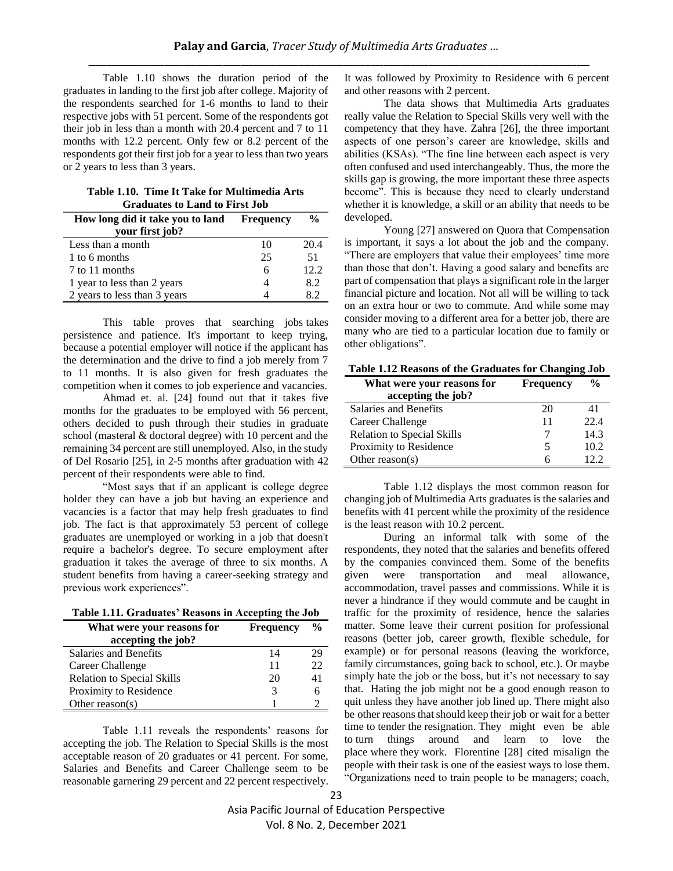Table 1.10 shows the duration period of the graduates in landing to the first job after college. Majority of the respondents searched for 1-6 months to land to their respective jobs with 51 percent. Some of the respondents got their job in less than a month with 20.4 percent and 7 to 11 months with 12.2 percent. Only few or 8.2 percent of the respondents got their first job for a year to less than two years or 2 years to less than 3 years.

|  |  | Table 1.10.  Time It Take for Multimedia Arts |  |
|--|--|-----------------------------------------------|--|
|  |  | <b>Graduates to Land to First Job</b>         |  |

| How long did it take you to land | <b>Frequency</b> | $\frac{0}{0}$ |
|----------------------------------|------------------|---------------|
| your first job?                  |                  |               |
| Less than a month                | 10               | 20.4          |
| 1 to 6 months                    | 25               | 51            |
| 7 to 11 months                   | 6                | 12.2.         |
| 1 year to less than 2 years      |                  | 8.2           |
| 2 years to less than 3 years     |                  |               |

This table proves that searching jobs takes persistence and patience. It's important to keep trying, because a potential employer will notice if the applicant has the determination and the drive to [find a job](http://www.snagajob.com/find-jobs/) merely from 7 to 11 months. It is also given for fresh graduates the competition when it comes to job experience and vacancies.

Ahmad et. al. [24] found out that it takes five months for the graduates to be employed with 56 percent, others decided to push through their studies in graduate school (masteral & doctoral degree) with 10 percent and the remaining 34 percent are still unemployed. Also, in the study of Del Rosario [25], in 2-5 months after graduation with 42 percent of their respondents were able to find.

"Most says that if an applicant is college degree holder they can have a job but having an experience and vacancies is a factor that may help fresh graduates to find job. The fact is that approximately 53 percent of college graduates are unemployed or working in a job that doesn't require a bachelor's degree. To secure employment after graduation it takes the average of three to six months. A student benefits from having a career-seeking strategy and previous work experiences".

| Table 1.11. Graduates' Reasons in Accepting the Job |  |  |  |
|-----------------------------------------------------|--|--|--|
|-----------------------------------------------------|--|--|--|

| What were your reasons for<br>accepting the job? | <b>Frequency</b> | $\frac{6}{9}$ |
|--------------------------------------------------|------------------|---------------|
| <b>Salaries and Benefits</b>                     | 14               |               |
| Career Challenge                                 | 11               | 22            |
| <b>Relation to Special Skills</b>                | 20               | 41            |
| Proximity to Residence                           |                  |               |
| Other reason(s)                                  |                  |               |

Table 1.11 reveals the respondents' reasons for accepting the job. The Relation to Special Skills is the most acceptable reason of 20 graduates or 41 percent. For some, Salaries and Benefits and Career Challenge seem to be reasonable garnering 29 percent and 22 percent respectively. It was followed by Proximity to Residence with 6 percent and other reasons with 2 percent.

The data shows that Multimedia Arts graduates really value the Relation to Special Skills very well with the competency that they have. Zahra [26], the three important aspects of one person's career are knowledge, skills and abilities (KSAs). "The fine line between each aspect is very often confused and used interchangeably. Thus, the more the skills gap is growing, the more important these three aspects become". This is because they need to clearly understand whether it is knowledge, a skill or an ability that needs to be developed.

Young [27] answered on Quora that Compensation is important, it says a lot about the job and the company. "There are employers that value their employees' time more than those that don't. Having a good salary and benefits are part of compensation that plays a significant role in the larger financial picture and location. Not all will be willing to tack on an extra hour or two to commute. And while some may consider moving to a different area for a better job, there are many who are tied to a particular location due to family or other obligations".

| What were your reasons for        | <b>Frequency</b> |      |
|-----------------------------------|------------------|------|
| accepting the job?                |                  |      |
| Salaries and Benefits             | 20               | 41   |
| Career Challenge                  | 11               | 22.4 |
| <b>Relation to Special Skills</b> |                  | 14.3 |
| Proximity to Residence            | 5                | 10.2 |
| Other reason(s)                   | 6                | 122  |

Table 1.12 displays the most common reason for changing job of Multimedia Arts graduates is the salaries and benefits with 41 percent while the proximity of the residence is the least reason with 10.2 percent.

During an informal talk with some of the respondents, they noted that the salaries and benefits offered by the companies convinced them. Some of the benefits given were transportation and meal allowance, accommodation, travel passes and commissions. While it is never a hindrance if they would commute and be caught in traffic for the proximity of residence, hence the salaries matter. Some leave their current position for professional reasons (better job, career growth, flexible schedule, for example) or for personal reasons (leaving the workforce, family circumstances, going back to school, etc.). Or maybe simply hate the job or the boss, but it's not necessary to say that. Hating the job might not be a good enough reason to quit unless they have another job lined up. There might also be [other reasons that should keep their job](https://www.thebalancecareers.com/reasons-not-to-quit-your-job-4114797) or [wait for a better](https://www.thebalancecareers.com/worst-times-to-quit-your-job-4137842)  [time](https://www.thebalancecareers.com/worst-times-to-quit-your-job-4137842) to tender the resignation. They might even be able to [turn things around and learn to love the](https://www.thebalancecareers.com/simple-ways-to-learn-to-love-your-job-4157557)  place [where](https://www.thebalancecareers.com/simple-ways-to-learn-to-love-your-job-4157557) they work. Florentine [28] cited misalign the people with their task is one of the easiest ways to lose them. "Organizations need to train people to be managers; coach,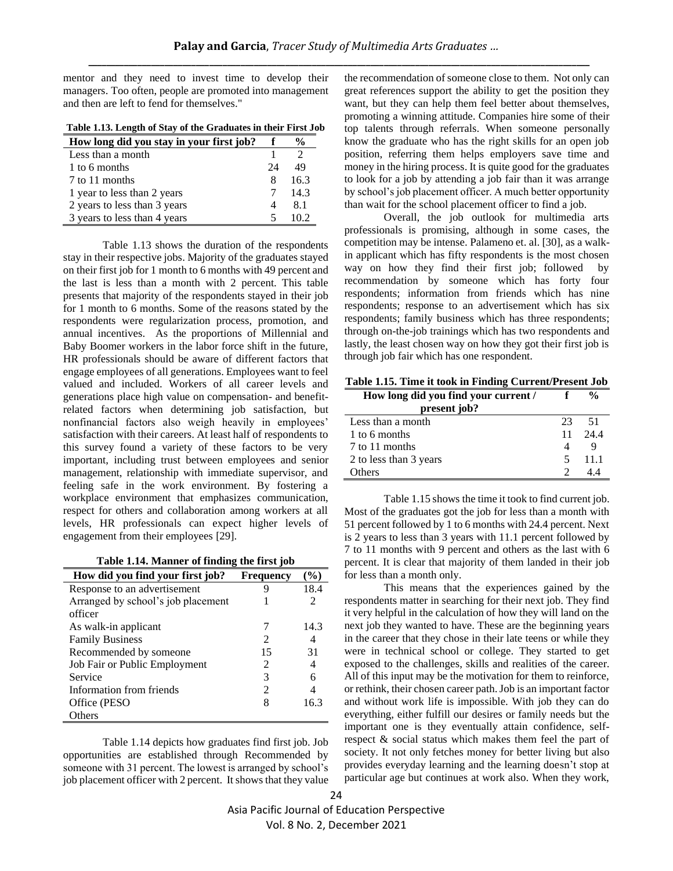mentor and they need to invest time to develop their managers. Too often, people are promoted into management and then are left to fend for themselves."

**Table 1.13. Length of Stay of the Graduates in their First Job**

| How long did you stay in your first job? |    | $\frac{0}{0}$ |
|------------------------------------------|----|---------------|
| Less than a month                        |    |               |
| 1 to 6 months                            | 24 | 49            |
| 7 to 11 months                           | x  | 163           |
| 1 year to less than 2 years              |    | 14.3          |
| 2 years to less than 3 years             |    | 81            |
| 3 years to less than 4 years             |    |               |

Table 1.13 shows the duration of the respondents stay in their respective jobs. Majority of the graduates stayed on their first job for 1 month to 6 months with 49 percent and the last is less than a month with 2 percent. This table presents that majority of the respondents stayed in their job for 1 month to 6 months. Some of the reasons stated by the respondents were regularization process, promotion, and annual incentives. As the proportions of Millennial and Baby Boomer workers in the labor force shift in the future, HR professionals should be aware of different factors that engage employees of all generations. Employees want to feel valued and included. Workers of all career levels and generations place high value on compensation- and benefitrelated factors when determining job satisfaction, but nonfinancial factors also weigh heavily in employees' satisfaction with their careers. At least half of respondents to this survey found a variety of these factors to be very important, including trust between employees and senior management, relationship with immediate supervisor, and feeling safe in the work environment. By fostering a workplace environment that emphasizes communication, respect for others and collaboration among workers at all levels, HR professionals can expect higher levels of engagement from their employees [29].

| Table 1.14. Manner of finding the first job |  |  |  |  |  |  |  |  |
|---------------------------------------------|--|--|--|--|--|--|--|--|
|---------------------------------------------|--|--|--|--|--|--|--|--|

| How did you find your first job?   | <b>Frequency</b> | $($ %) |
|------------------------------------|------------------|--------|
| Response to an advertisement       |                  | 18.4   |
| Arranged by school's job placement |                  | 2      |
| officer                            |                  |        |
| As walk-in applicant               |                  | 14.3   |
| <b>Family Business</b>             | 2                | 4      |
| Recommended by someone             | 15               | 31     |
| Job Fair or Public Employment      | 2                | 4      |
| Service                            | 3                | 6      |
| Information from friends           |                  | 4      |
| Office (PESO)                      |                  | 16.3   |
| Others                             |                  |        |

Table 1.14 depicts how graduates find first job. Job opportunities are established through Recommended by someone with 31 percent. The lowest is arranged by school's job placement officer with 2 percent. It shows that they value

the recommendation of someone close to them. Not only can great references support the ability to get the position they want, but they can help them feel better about themselves, promoting a winning attitude. Companies hire some of their top talents through referrals. When someone personally know the graduate who has the right skills for an open job position, referring them helps employers save time and money in the hiring process. It is quite good for the graduates to look for a job by attending a job fair than it was arrange by school's job placement officer. A much better opportunity than wait for the school placement officer to find a job.

Overall, the job outlook for multimedia arts professionals is promising, although in some cases, the competition may be intense. Palameno et. al. [30], as a walkin applicant which has fifty respondents is the most chosen way on how they find their first job; followed by recommendation by someone which has forty four respondents; information from friends which has nine respondents; response to an advertisement which has six respondents; family business which has three respondents; through on-the-job trainings which has two respondents and lastly, the least chosen way on how they got their first job is through job fair which has one respondent.

**Table 1.15. Time it took in Finding Current/Present Job**

| How long did you find your current / |    | $\frac{0}{0}$ |
|--------------------------------------|----|---------------|
| present job?                         |    |               |
| Less than a month                    | 23 | -51           |
| 1 to 6 months                        | 11 | -244          |
| 7 to 11 months                       |    |               |
| 2 to less than 3 years               | 5  | -11.1         |
| Others                               |    |               |

Table 1.15 shows the time it took to find current job. Most of the graduates got the job for less than a month with 51 percent followed by 1 to 6 months with 24.4 percent. Next is 2 years to less than 3 years with 11.1 percent followed by 7 to 11 months with 9 percent and others as the last with 6 percent. It is clear that majority of them landed in their job for less than a month only.

This means that the experiences gained by the respondents matter in searching for their next job. They find it very helpful in the calculation of how they will land on the next job they wanted to have. These are the beginning years in the career that they chose in their late teens or while they were in technical school or college. They started to get exposed to the challenges, skills and realities of the career. All of this input may be the motivation for them to reinforce, or rethink, their chosen career path. Job is an important factor and without work life is impossible. With job they can do everything, either fulfill our desires or family needs but the important one is they eventually attain confidence, selfrespect & social status which makes them feel the part of society. It not only fetches money for better living but also provides everyday learning and the learning doesn't stop at particular age but continues at work also. When they work,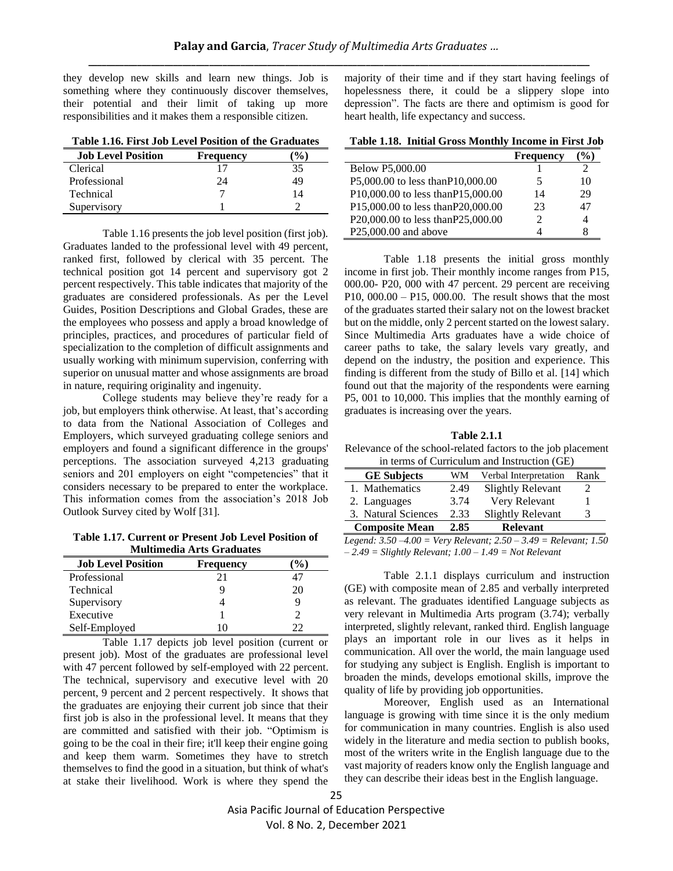they develop new skills and learn new things. Job is something where they continuously discover themselves, their potential and their limit of taking up more responsibilities and it makes them a responsible citizen.

|  | Table 1.16. First Job Level Position of the Graduates |  |
|--|-------------------------------------------------------|--|
|  |                                                       |  |

| <b>Job Level Position</b> | <b>Frequency</b> | $\frac{1}{2}$ |
|---------------------------|------------------|---------------|
| Clerical                  |                  | 35            |
| Professional              | 24               | 49            |
| Technical                 |                  | 14            |
| Supervisory               |                  |               |

Table 1.16 presents the job level position (first job). Graduates landed to the professional level with 49 percent, ranked first, followed by clerical with 35 percent. The technical position got 14 percent and supervisory got 2 percent respectively. This table indicates that majority of the graduates are considered professionals. As per the Level Guides, Position Descriptions and Global Grades, these are the employees who possess and apply a broad knowledge of principles, practices, and procedures of particular field of specialization to the completion of difficult assignments and usually working with minimum supervision, conferring with superior on unusual matter and whose assignments are broad in nature, requiring originality and ingenuity.

College students may believe they're ready for a job, but employers think otherwise. At least, that's according to data from the National Association of Colleges and Employers, which surveyed graduating college seniors and employers and found a significant difference in the groups' perceptions. The association surveyed 4,213 graduating seniors and 201 employers on eight "competencies" that it considers necessary to be prepared to enter the workplace. This information comes from the association's 2018 Job Outlook Survey cited by Wolf [31].

**Table 1.17. Current or Present Job Level Position of Multimedia Arts Graduates**

| <b>Job Level Position</b> | <b>Frequency</b> | $\mathcal{O}_0$ , |
|---------------------------|------------------|-------------------|
| Professional              | 21               |                   |
| Technical                 |                  | 20                |
| Supervisory               |                  |                   |
| Executive                 |                  |                   |
| Self-Employed             |                  | つつ                |

Table 1.17 depicts job level position (current or present job). Most of the graduates are professional level with 47 percent followed by self-employed with 22 percent. The technical, supervisory and executive level with 20 percent, 9 percent and 2 percent respectively. It shows that the graduates are enjoying their current job since that their first job is also in the professional level. It means that they are committed and satisfied with their job. "Optimism is going to be the coal in their fire; it'll keep their engine going and keep them warm. Sometimes they have to stretch themselves to find the good in a situation, but think of what's at stake their livelihood. Work is where they spend the majority of their time and if they start having feelings of hopelessness there, it could be a slippery slope into depression". The facts are there and optimism is good for heart health, life expectancy and success.

| Table 1.18. Initial Gross Monthly Income in First Job |  |  |  |  |  |
|-------------------------------------------------------|--|--|--|--|--|
|-------------------------------------------------------|--|--|--|--|--|

|                                    | <b>Frequency</b>            | $\frac{1}{2}$ |
|------------------------------------|-----------------------------|---------------|
| Below P5,000.00                    |                             |               |
| P5,000.00 to less thanP10,000.00   | 5                           | 10            |
| P10,000.00 to less than P15,000.00 | 14                          | 29            |
| P15,000.00 to less than P20,000.00 | 23                          | 47            |
| P20,000.00 to less than P25,000.00 | $\mathcal{D}_{\mathcal{L}}$ | 4             |
| P25,000.00 and above               |                             | x             |

Table 1.18 presents the initial gross monthly income in first job. Their monthly income ranges from P15, 000.00- P20, 000 with 47 percent. 29 percent are receiving P10, 000.00 – P15, 000.00. The result shows that the most of the graduates started their salary not on the lowest bracket but on the middle, only 2 percent started on the lowest salary. Since Multimedia Arts graduates have a wide choice of career paths to take, the salary levels vary greatly, and depend on the industry, the position and experience. This finding is different from the study of Billo et al. [14] which found out that the majority of the respondents were earning P5, 001 to 10,000. This implies that the monthly earning of graduates is increasing over the years.

**Table 2.1.1**

Relevance of the school-related factors to the job placement in terms of Curriculum and Instruction (GE)

| <b>GE Subjects</b>    | WМ   | Verbal Interpretation    | Rank |
|-----------------------|------|--------------------------|------|
| 1. Mathematics        | 2.49 | <b>Slightly Relevant</b> |      |
| 2. Languages          | 3.74 | Very Relevant            |      |
| 3. Natural Sciences   | 2.33 | <b>Slightly Relevant</b> | 3    |
| <b>Composite Mean</b> | 2.85 | <b>Relevant</b>          |      |

*Legend: 3.50 –4.00 = Very Relevant; 2.50 – 3.49 = Relevant; 1.50 – 2.49 = Slightly Relevant; 1.00 – 1.49 = Not Relevant*

Table 2.1.1 displays curriculum and instruction (GE) with composite mean of 2.85 and verbally interpreted as relevant. The graduates identified Language subjects as very relevant in Multimedia Arts program (3.74); verbally interpreted, slightly relevant, ranked third. English language plays an important role in our lives as it helps in communication. All over the world, the main language used for studying any subject is English. English is important to broaden the minds, develops emotional skills, improve the quality of life by providing job opportunities.

Moreover, English used as an International language is growing with time since it is the only medium for communication in many countries. English is also used widely in the literature and media section to publish books, most of the writers write in the English language due to the vast majority of readers know only the English language and they can describe their ideas best in the English language.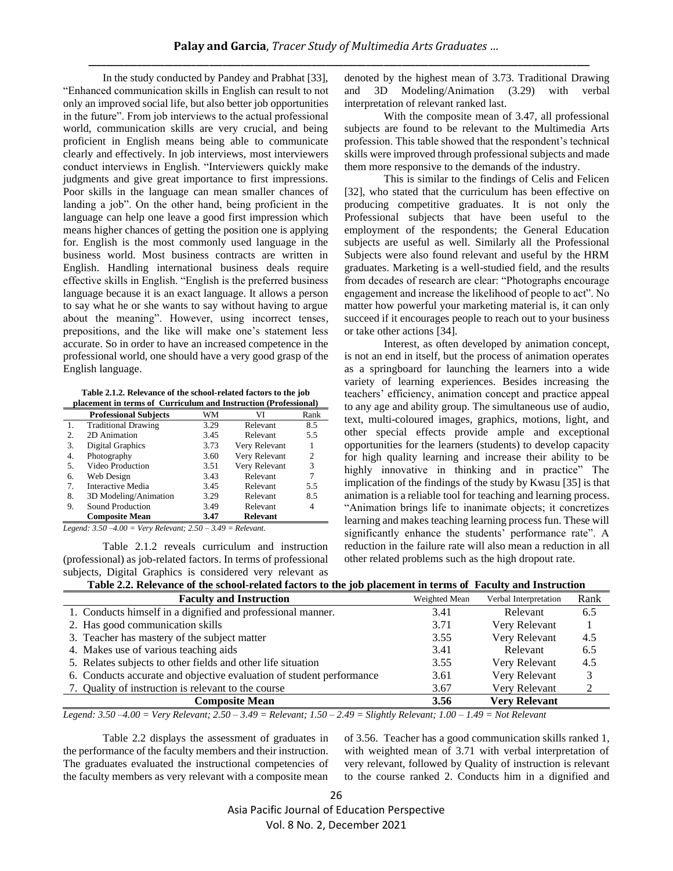In the study conducted by Pandey and Prabhat [33], "Enhanced communication skills in English can result to not only an improved social life, but also better job opportunities in the future". From job interviews to the actual professional world, communication skills are very crucial, and being proficient in English means being able to communicate clearly and effectively. In job interviews, most interviewers conduct interviews in English. "Interviewers quickly make judgments and give great importance to first impressions. Poor skills in the language can mean smaller chances of landing a job". On the other hand, being proficient in the language can help one leave a good first impression which means higher chances of getting the position one is applying for. English is the most commonly used language in the business world. Most business contracts are written in English. Handling international business deals require effective skills in English. "English is the preferred business language because it is an exact language. It allows a person to say what he or she wants to say without having to argue about the meaning". However, using incorrect tenses, prepositions, and the like will make one's statement less accurate. So in order to have an increased competence in the professional world, one should have a very good grasp of the English language.

**Table 2.1.2. Relevance of the school-related factors to the job placement in terms of Curriculum and Instruction (Professional)**

|    | <b>Professional Subjects</b> | WМ     | VI              | Rank |
|----|------------------------------|--------|-----------------|------|
|    | <b>Traditional Drawing</b>   | 3.29   | Relevant        | 8.5  |
| 2. | 2D Animation                 | 3.45   | Relevant        | 5.5  |
| 3. | Digital Graphics             | 3.73   | Very Relevant   |      |
| 4. | Photography                  | 3.60   | Very Relevant   | 2    |
| 5. | Video Production             | 3.51   | Very Relevant   | 3    |
| 6. | Web Design                   | 3.43   | Relevant        | 7    |
| 7. | Interactive Media            | 3.45   | Relevant        | 5.5  |
| 8. | 3D Modeling/Animation        | 3.29   | Relevant        | 8.5  |
| 9. | Sound Production             | 3.49   | Relevant        | 4    |
|    | <b>Composite Mean</b>        | 3.47   | <b>Relevant</b> |      |
|    | .                            | --- -- |                 |      |

*Legend: 3.50 –4.00 = Very Relevant; 2.50 – 3.49 = Relevant.* 

Table 2.1.2 reveals curriculum and instruction (professional) as job-related factors. In terms of professional subjects, Digital Graphics is considered very relevant as

denoted by the highest mean of 3.73. Traditional Drawing and 3D Modeling/Animation (3.29) with verbal interpretation of relevant ranked last.

With the composite mean of 3.47, all professional subjects are found to be relevant to the Multimedia Arts profession. This table showed that the respondent's technical skills were improved through professional subjects and made them more responsive to the demands of the industry.

This is similar to the findings of Celis and Felicen [32], who stated that the curriculum has been effective on producing competitive graduates. It is not only the Professional subjects that have been useful to the employment of the respondents; the General Education subjects are useful as well. Similarly all the Professional Subjects were also found relevant and useful by the HRM graduates. Marketing is a well-studied field, and the results from decades of research are clear: "Photographs encourage engagement and increase the likelihood of people to act". No matter how powerful your marketing material is, it can only succeed if it encourages people to reach out to your business or take other actions [34].

Interest, as often developed by animation concept, is not an end in itself, but the process of animation operates as a springboard for launching the learners into a wide variety of learning experiences. Besides increasing the teachers' efficiency, animation concept and practice appeal to any age and ability group. The simultaneous use of audio, text, multi-coloured images, graphics, motions, light, and other special effects provide ample and exceptional opportunities for the learners (students) to develop capacity for high quality learning and increase their ability to be highly innovative in thinking and in practice" The implication of the findings of the study by Kwasu [35] is that animation is a reliable tool for teaching and learning process. "Animation brings life to inanimate objects; it concretizes learning and makes teaching learning process fun. These will significantly enhance the students' performance rate". A reduction in the failure rate will also mean a reduction in all other related problems such as the high dropout rate.

| <b>Faculty and Instruction</b>                                       | Weighted Mean | Verbal Interpretation | Rank |
|----------------------------------------------------------------------|---------------|-----------------------|------|
| 1. Conducts himself in a dignified and professional manner.          | 3.41          | Relevant              | 6.5  |
| 2. Has good communication skills                                     | 3.71          | Very Relevant         |      |
| 3. Teacher has mastery of the subject matter                         | 3.55          | Very Relevant         | 4.5  |
| 4. Makes use of various teaching aids                                | 3.41          | Relevant              | 6.5  |
| 5. Relates subjects to other fields and other life situation         | 3.55          | Very Relevant         | 4.5  |
| 6. Conducts accurate and objective evaluation of student performance | 3.61          | Very Relevant         |      |
| 7. Quality of instruction is relevant to the course                  | 3.67          | Very Relevant         |      |
| <b>Composite Mean</b>                                                | 3.56          | <b>Very Relevant</b>  |      |

*Legend: 3.50 –4.00 = Very Relevant; 2.50 – 3.49 = Relevant; 1.50 – 2.49 = Slightly Relevant; 1.00 – 1.49 = Not Relevant*

Table 2.2 displays the assessment of graduates in the performance of the faculty members and their instruction. The graduates evaluated the instructional competencies of the faculty members as very relevant with a composite mean of 3.56. Teacher has a good communication skills ranked 1, with weighted mean of 3.71 with verbal interpretation of very relevant, followed by Quality of instruction is relevant to the course ranked 2. Conducts him in a dignified and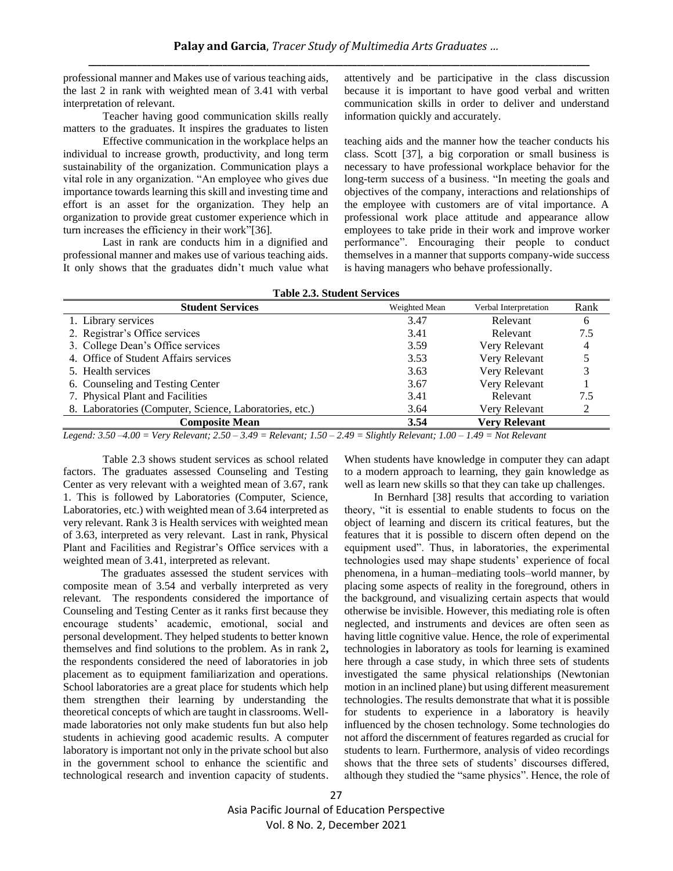professional manner and Makes use of various teaching aids, the last 2 in rank with weighted mean of 3.41 with verbal interpretation of relevant.

Teacher having good communication skills really matters to the graduates. It inspires the graduates to listen

Effective communication in the workplace helps an individual to increase growth, productivity, and long term sustainability of the organization. Communication plays a vital role in any organization. "An employee who gives due importance towards learning this skill and investing time and effort is an asset for the organization. They help an organization to provide great customer experience which in turn increases the efficiency in their work"[36].

Last in rank are conducts him in a dignified and professional manner and makes use of various teaching aids. It only shows that the graduates didn't much value what

attentively and be participative in the class discussion because it is important to have good verbal and written communication skills in order to deliver and understand information quickly and accurately.

teaching aids and the manner how the teacher conducts his class. Scott [37], a big corporation or small business is necessary to have professional workplace behavior for the long-term success of a business. "In meeting the goals and objectives of the company, interactions and relationships of the employee with customers are of vital importance. A professional work place attitude and appearance allow employees to take pride in their work and improve worker performance". Encouraging their people to conduct themselves in a manner that supports company-wide success is having managers who behave professionally.

|  |  |  | <b>Table 2.3. Student Services</b> |
|--|--|--|------------------------------------|
|--|--|--|------------------------------------|

| <b>Student Services</b>                                 | Weighted Mean | Verbal Interpretation | Rank |
|---------------------------------------------------------|---------------|-----------------------|------|
| 1. Library services                                     | 3.47          | Relevant              | 6    |
| 2. Registrar's Office services                          | 3.41          | Relevant              | 7.5  |
| 3. College Dean's Office services                       | 3.59          | Very Relevant         | 4    |
| 4. Office of Student Affairs services                   | 3.53          | Very Relevant         |      |
| 5. Health services                                      | 3.63          | Very Relevant         |      |
| 6. Counseling and Testing Center                        | 3.67          | Very Relevant         |      |
| 7. Physical Plant and Facilities                        | 3.41          | Relevant              | 7.5  |
| 8. Laboratories (Computer, Science, Laboratories, etc.) | 3.64          | Very Relevant         |      |
| <b>Composite Mean</b>                                   | 3.54          | <b>Very Relevant</b>  |      |

*Legend: 3.50 –4.00 = Very Relevant; 2.50 – 3.49 = Relevant; 1.50 – 2.49 = Slightly Relevant; 1.00 – 1.49 = Not Relevant*

Table 2.3 shows student services as school related factors. The graduates assessed Counseling and Testing Center as very relevant with a weighted mean of 3.67, rank 1. This is followed by Laboratories (Computer, Science, Laboratories, etc.) with weighted mean of 3.64 interpreted as very relevant. Rank 3 is Health services with weighted mean of 3.63, interpreted as very relevant. Last in rank, Physical Plant and Facilities and Registrar's Office services with a weighted mean of 3.41, interpreted as relevant.

 The graduates assessed the student services with composite mean of 3.54 and verbally interpreted as very relevant. The respondents considered the importance of Counseling and Testing Center as it ranks first because they encourage students' academic, emotional, social and personal development. They helped students to better known themselves and find solutions to the problem. As in rank 2**,**  the respondents considered the need of laboratories in job placement as to equipment familiarization and operations. School laboratories are a great place for students which help them strengthen their learning by understanding the theoretical concepts of which are taught in classrooms. Wellmade laboratories not only make students fun but also help students in achieving good academic results. A computer laboratory is important not only in the private school but also in the government school to enhance the scientific and technological research and invention capacity of students.

When students have knowledge in computer they can adapt to a modern approach to learning, they gain knowledge as well as learn new skills so that they can take up challenges.

 In Bernhard [38] results that according to variation theory, "it is essential to enable students to focus on the object of learning and discern its critical features, but the features that it is possible to discern often depend on the equipment used". Thus, in laboratories, the experimental technologies used may shape students' experience of focal phenomena, in a human–mediating tools–world manner, by placing some aspects of reality in the foreground, others in the background, and visualizing certain aspects that would otherwise be invisible. However, this mediating role is often neglected, and instruments and devices are often seen as having little cognitive value. Hence, the role of experimental technologies in laboratory as tools for learning is examined here through a case study, in which three sets of students investigated the same physical relationships (Newtonian motion in an inclined plane) but using different measurement technologies. The results demonstrate that what it is possible for students to experience in a laboratory is heavily influenced by the chosen technology. Some technologies do not afford the discernment of features regarded as crucial for students to learn. Furthermore, analysis of video recordings shows that the three sets of students' discourses differed, although they studied the "same physics". Hence, the role of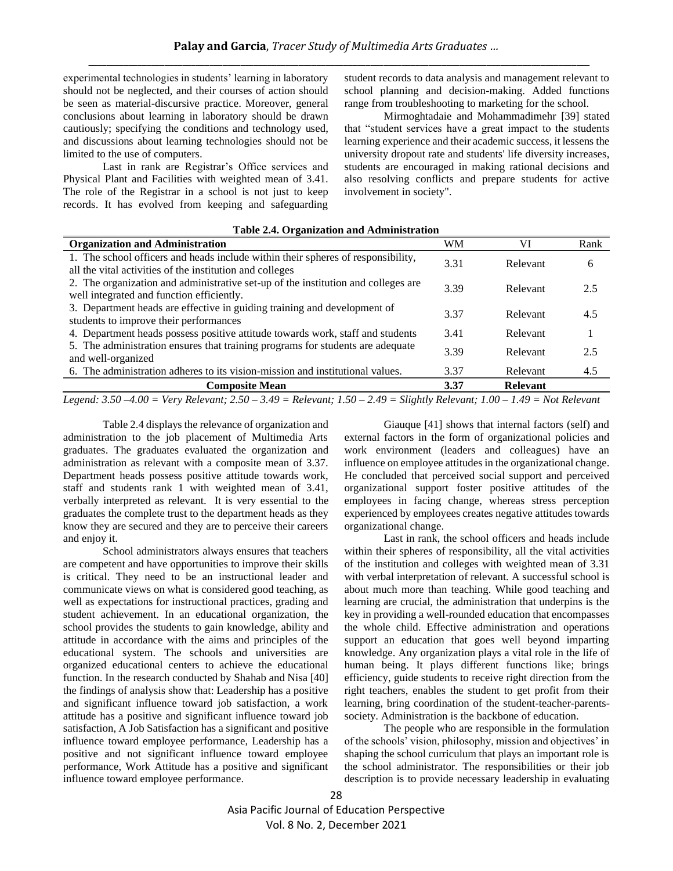experimental technologies in students' learning in laboratory should not be neglected, and their courses of action should be seen as material-discursive practice. Moreover, general conclusions about learning in laboratory should be drawn cautiously; specifying the conditions and technology used, and discussions about learning technologies should not be limited to the use of computers.

Last in rank are Registrar's Office services and Physical Plant and Facilities with weighted mean of 3.41. The role of the Registrar in a school is not just to keep records. It has evolved from keeping and safeguarding student records to data analysis and management relevant to school planning and decision-making. Added functions range from troubleshooting to marketing for the school.

Mirmoghtadaie and Mohammadimehr [39] stated that "student services have a great impact to the students learning experience and their academic success, it lessens the university dropout rate and students' life diversity increases, students are encouraged in making rational decisions and also resolving conflicts and prepare students for active involvement in society".

# **Table 2.4. Organization and Administration**

| <b>Organization and Administration</b>                                            | WM   | VI              | Rank |
|-----------------------------------------------------------------------------------|------|-----------------|------|
| 1. The school officers and heads include within their spheres of responsibility,  | 3.31 | Relevant        | 6    |
| all the vital activities of the institution and colleges                          |      |                 |      |
| 2. The organization and administrative set-up of the institution and colleges are | 3.39 | Relevant        | 2.5  |
| well integrated and function efficiently.                                         |      |                 |      |
| 3. Department heads are effective in guiding training and development of          | 3.37 | Relevant        | 4.5  |
| students to improve their performances                                            |      |                 |      |
| 4. Department heads possess positive attitude towards work, staff and students    | 3.41 | Relevant        |      |
| 5. The administration ensures that training programs for students are adequate    | 3.39 | Relevant        | 2.5  |
| and well-organized                                                                |      |                 |      |
| 6. The administration adheres to its vision-mission and institutional values.     | 3.37 | Relevant        | 4.5  |
| <b>Composite Mean</b>                                                             | 3.37 | <b>Relevant</b> |      |

*Legend: 3.50 –4.00 = Very Relevant; 2.50 – 3.49 = Relevant; 1.50 – 2.49 = Slightly Relevant; 1.00 – 1.49 = Not Relevant*

Table 2.4 displays the relevance of organization and administration to the job placement of Multimedia Arts graduates. The graduates evaluated the organization and administration as relevant with a composite mean of 3.37. Department heads possess positive attitude towards work, staff and students rank 1 with weighted mean of 3.41, verbally interpreted as relevant. It is very essential to the graduates the complete trust to the department heads as they know they are secured and they are to perceive their careers and enjoy it.

School administrators always ensures that teachers are competent and have opportunities to improve their skills is critical. They need to be an instructional leader and communicate views on what is considered good teaching, as well as expectations for instructional practices, grading and student achievement. In an educational organization, the school provides the students to gain knowledge, ability and attitude in accordance with the aims and principles of the educational system. The schools and universities are organized educational centers to achieve the educational function. In the research conducted by Shahab and Nisa [40] the findings of analysis show that: Leadership has a positive and significant influence toward job satisfaction, a work attitude has a positive and significant influence toward job satisfaction, A Job Satisfaction has a significant and positive influence toward employee performance, Leadership has a positive and not significant influence toward employee performance, Work Attitude has a positive and significant influence toward employee performance.

Giauque [41] shows that internal factors (self) and external factors in the form of organizational policies and work environment (leaders and colleagues) have an influence on employee attitudes in the organizational change. He concluded that perceived social support and perceived organizational support foster positive attitudes of the employees in facing change, whereas stress perception experienced by employees creates negative attitudes towards organizational change.

Last in rank, the school officers and heads include within their spheres of responsibility, all the vital activities of the institution and colleges with weighted mean of 3.31 with verbal interpretation of relevant. A successful school is about much more than teaching. While good teaching and learning are crucial, the administration that underpins is the key in providing a well-rounded education that encompasses the whole child. Effective administration and operations support an education that goes well beyond imparting knowledge. Any organization plays a vital role in the life of human being. It plays different functions like; brings efficiency, guide students to receive right direction from the right teachers, enables the student to get profit from their learning, bring coordination of the student-teacher-parentssociety. Administration is the backbone of education.

The people who are responsible in the formulation of the schools' vision, philosophy, mission and objectives' in shaping the school curriculum that plays an important role is the school administrator. The responsibilities or their job description is to provide necessary leadership in evaluating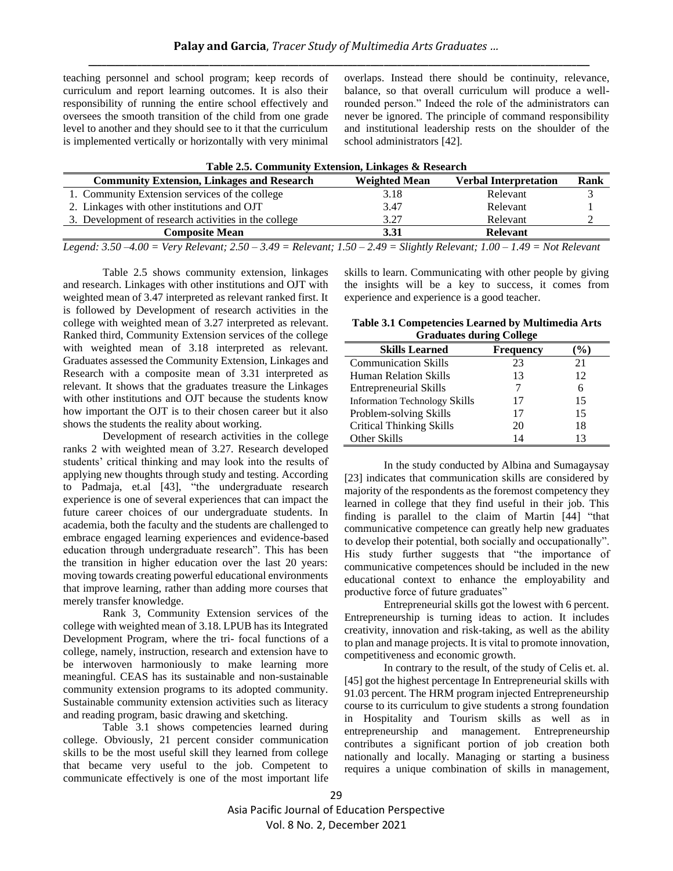teaching personnel and school program; keep records of curriculum and report learning outcomes. It is also their responsibility of running the entire school effectively and oversees the smooth transition of the child from one grade level to another and they should see to it that the curriculum is implemented vertically or horizontally with very minimal overlaps. Instead there should be continuity, relevance, balance, so that overall curriculum will produce a wellrounded person." Indeed the role of the administrators can never be ignored. The principle of command responsibility and institutional leadership rests on the shoulder of the school administrators [42].

| Table 2.5. Community Extension, Linkages & Research                                                                               |                      |                              |      |  |
|-----------------------------------------------------------------------------------------------------------------------------------|----------------------|------------------------------|------|--|
| <b>Community Extension, Linkages and Research</b>                                                                                 | <b>Weighted Mean</b> | <b>Verbal Interpretation</b> | Rank |  |
| 1. Community Extension services of the college                                                                                    | 3.18                 | Relevant                     |      |  |
| 2. Linkages with other institutions and OJT                                                                                       | 3.47                 | Relevant                     |      |  |
| 3. Development of research activities in the college                                                                              | 3.27                 | Relevant                     |      |  |
| <b>Composite Mean</b>                                                                                                             | 3.31                 | <b>Relevant</b>              |      |  |
| Legend: $3.50 - 4.00 = V$ ery Relevant; $2.50 - 3.49 =$ Relevant; $1.50 - 2.49 =$ Slightly Relevant; $1.00 - 1.49 =$ Not Relevant |                      |                              |      |  |

Table 2.5 shows community extension, linkages and research. Linkages with other institutions and OJT with weighted mean of 3.47 interpreted as relevant ranked first. It is followed by Development of research activities in the college with weighted mean of 3.27 interpreted as relevant. Ranked third, Community Extension services of the college with weighted mean of 3.18 interpreted as relevant. Graduates assessed the Community Extension, Linkages and Research with a composite mean of 3.31 interpreted as relevant. It shows that the graduates treasure the Linkages with other institutions and OJT because the students know how important the OJT is to their chosen career but it also shows the students the reality about working.

Development of research activities in the college ranks 2 with weighted mean of 3.27. Research developed students' critical thinking and may look into the results of applying new thoughts through study and testing. According to Padmaja, et.al [43], "the undergraduate research experience is one of several experiences that can impact the future career choices of our undergraduate students. In academia, both the faculty and the students are challenged to embrace engaged learning experiences and evidence-based education through undergraduate research". This has been the transition in higher education over the last 20 years: moving towards creating powerful educational environments that improve learning, rather than adding more courses that merely transfer knowledge.

Rank 3, Community Extension services of the college with weighted mean of 3.18. LPUB has its Integrated Development Program, where the tri- focal functions of a college, namely, instruction, research and extension have to be interwoven harmoniously to make learning more meaningful. CEAS has its sustainable and non-sustainable community extension programs to its adopted community. Sustainable community extension activities such as literacy and reading program, basic drawing and sketching.

Table 3.1 shows competencies learned during college. Obviously, 21 percent consider communication skills to be the most useful skill they learned from college that became very useful to the job. Competent to communicate effectively is one of the most important life skills to learn. Communicating with other people by giving the insights will be a key to success, it comes from experience and experience is a good teacher.

**Table 3.1 Competencies Learned by Multimedia Arts Graduates during College**

| <b>Skills Learned</b>                | <b>Frequency</b> |    |
|--------------------------------------|------------------|----|
| <b>Communication Skills</b>          | 23               | 21 |
| <b>Human Relation Skills</b>         | 13               | 12 |
| <b>Entrepreneurial Skills</b>        |                  | 6  |
| <b>Information Technology Skills</b> | 17               | 15 |
| Problem-solving Skills               | 17               | 15 |
| Critical Thinking Skills             | 20               | 18 |
| Other Skills                         | 14               | 13 |

In the study conducted by Albina and Sumagaysay [23] indicates that communication skills are considered by majority of the respondents as the foremost competency they learned in college that they find useful in their job. This finding is parallel to the claim of Martin [44] "that communicative competence can greatly help new graduates to develop their potential, both socially and occupationally". His study further suggests that "the importance of communicative competences should be included in the new educational context to enhance the employability and productive force of future graduates"

Entrepreneurial skills got the lowest with 6 percent. Entrepreneurship is turning ideas to action. It includes creativity, innovation and risk-taking, as well as the ability to plan and manage projects. It is vital to promote innovation, competitiveness and economic growth.

In contrary to the result, of the study of Celis et. al. [45] got the highest percentage In Entrepreneurial skills with 91.03 percent. The HRM program injected Entrepreneurship course to its curriculum to give students a strong foundation in Hospitality and Tourism skills as well as in entrepreneurship and management. Entrepreneurship contributes a significant portion of job creation both nationally and locally. Managing or starting a business requires a unique combination of skills in management,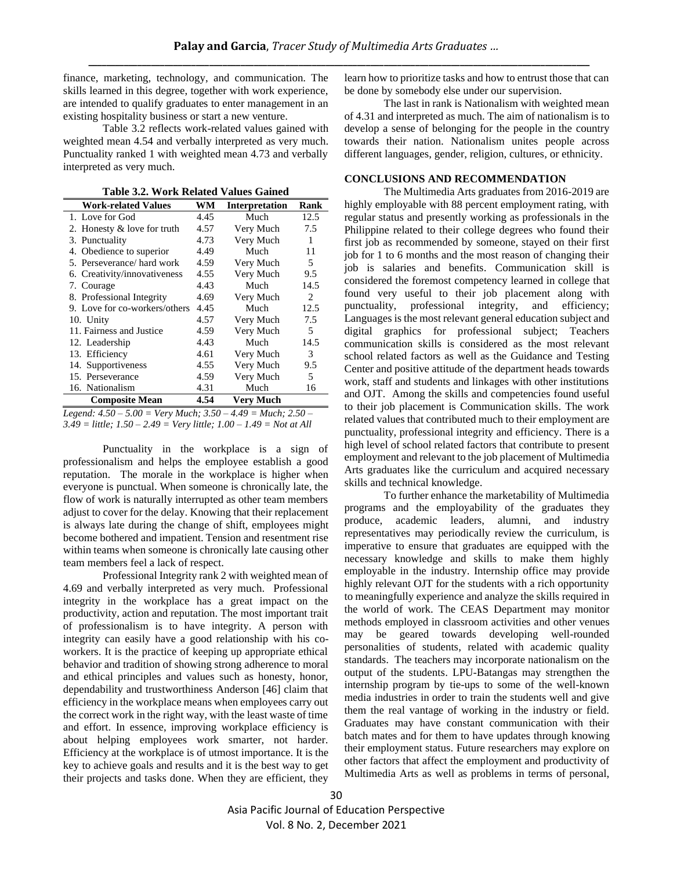finance, marketing, technology, and communication. The skills learned in this degree, together with work experience, are intended to qualify graduates to enter management in an existing hospitality business or start a new venture.

Table 3.2 reflects work-related values gained with weighted mean 4.54 and verbally interpreted as very much. Punctuality ranked 1 with weighted mean 4.73 and verbally interpreted as very much.

**Table 3.2. Work Related Values Gained**

| <b>Work-related Values</b>    | WM   | Interpretation   | Rank |
|-------------------------------|------|------------------|------|
| 1. Love for God               | 4.45 | Much             | 12.5 |
| 2. Honesty & love for truth   | 4.57 | Very Much        | 7.5  |
| 3. Punctuality                | 4.73 | Very Much        | 1    |
| 4. Obedience to superior      | 4.49 | Much             | 11   |
| 5. Perseverance/hard work     | 4.59 | Very Much        | 5    |
| 6. Creativity/innovativeness  | 4.55 | Very Much        | 9.5  |
| 7. Courage                    | 4.43 | Much             | 14.5 |
| 8. Professional Integrity     | 4.69 | Very Much        | 2    |
| 9. Love for co-workers/others | 4.45 | Much             | 12.5 |
| 10. Unity                     | 4.57 | Very Much        | 7.5  |
| 11. Fairness and Justice      | 4.59 | Very Much        | 5    |
| 12. Leadership                | 4.43 | Much             | 14.5 |
| 13. Efficiency                | 4.61 | Very Much        | 3    |
| 14. Supportiveness            | 4.55 | Very Much        | 9.5  |
| 15. Perseverance              | 4.59 | Very Much        | 5    |
| 16. Nationalism               | 4.31 | Much             | 16   |
| <b>Composite Mean</b>         | 4.54 | <b>Very Much</b> |      |

*Legend: 4.50 – 5.00 = Very Much; 3.50 – 4.49 = Much; 2.50 – 3.49 = little; 1.50 – 2.49 = Very little; 1.00 – 1.49 = Not at All*

Punctuality in the workplace is a sign of professionalism and helps the employee establish a good reputation. The morale in the workplace is higher when everyone is punctual. When someone is chronically late, the flow of work is naturally interrupted as other team members adjust to cover for the delay. Knowing that their replacement is always late during the change of shift, employees might become bothered and impatient. Tension and resentment rise within teams when someone is chronically late causing other team members feel a lack of respect.

Professional Integrity rank 2 with weighted mean of 4.69 and verbally interpreted as very much. Professional integrity in the workplace has a great impact on the productivity, action and reputation. The most important trait of professionalism is to have integrity. A person with integrity can easily have a good relationship with his coworkers. It is the practice of keeping up appropriate ethical behavior and tradition of showing strong adherence to moral and ethical principles and values such as honesty, honor, dependability and trustworthiness Anderson [46] claim that efficiency in the workplace means when employees carry out the correct work in the right way, with the least waste of time and effort. In essence, improving workplace efficiency is about helping employees work smarter, not harder. Efficiency at the workplace is of utmost importance. It is the key to achieve goals and results and it is the best way to get their projects and tasks done. When they are efficient, they

learn how to prioritize tasks and how to entrust those that can be done by somebody else under our supervision.

The last in rank is Nationalism with weighted mean of 4.31 and interpreted as much. The aim of nationalism is to develop a sense of belonging for the people in the country towards their nation. Nationalism unites people across different languages, gender, religion, cultures, or ethnicity.

## **CONCLUSIONS AND RECOMMENDATION**

The Multimedia Arts graduates from 2016-2019 are highly employable with 88 percent employment rating, with regular status and presently working as professionals in the Philippine related to their college degrees who found their first job as recommended by someone, stayed on their first job for 1 to 6 months and the most reason of changing their job is salaries and benefits. Communication skill is considered the foremost competency learned in college that found very useful to their job placement along with punctuality, professional integrity, and efficiency; Languages is the most relevant general education subject and digital graphics for professional subject; Teachers communication skills is considered as the most relevant school related factors as well as the Guidance and Testing Center and positive attitude of the department heads towards work, staff and students and linkages with other institutions and OJT. Among the skills and competencies found useful to their job placement is Communication skills. The work related values that contributed much to their employment are punctuality, professional integrity and efficiency. There is a high level of school related factors that contribute to present employment and relevant to the job placement of Multimedia Arts graduates like the curriculum and acquired necessary skills and technical knowledge.

To further enhance the marketability of Multimedia programs and the employability of the graduates they produce, academic leaders, alumni, and industry representatives may periodically review the curriculum, is imperative to ensure that graduates are equipped with the necessary knowledge and skills to make them highly employable in the industry. Internship office may provide highly relevant OJT for the students with a rich opportunity to meaningfully experience and analyze the skills required in the world of work. The CEAS Department may monitor methods employed in classroom activities and other venues may be geared towards developing well-rounded personalities of students, related with academic quality standards. The teachers may incorporate nationalism on the output of the students. LPU-Batangas may strengthen the internship program by tie-ups to some of the well-known media industries in order to train the students well and give them the real vantage of working in the industry or field. Graduates may have constant communication with their batch mates and for them to have updates through knowing their employment status. Future researchers may explore on other factors that affect the employment and productivity of Multimedia Arts as well as problems in terms of personal,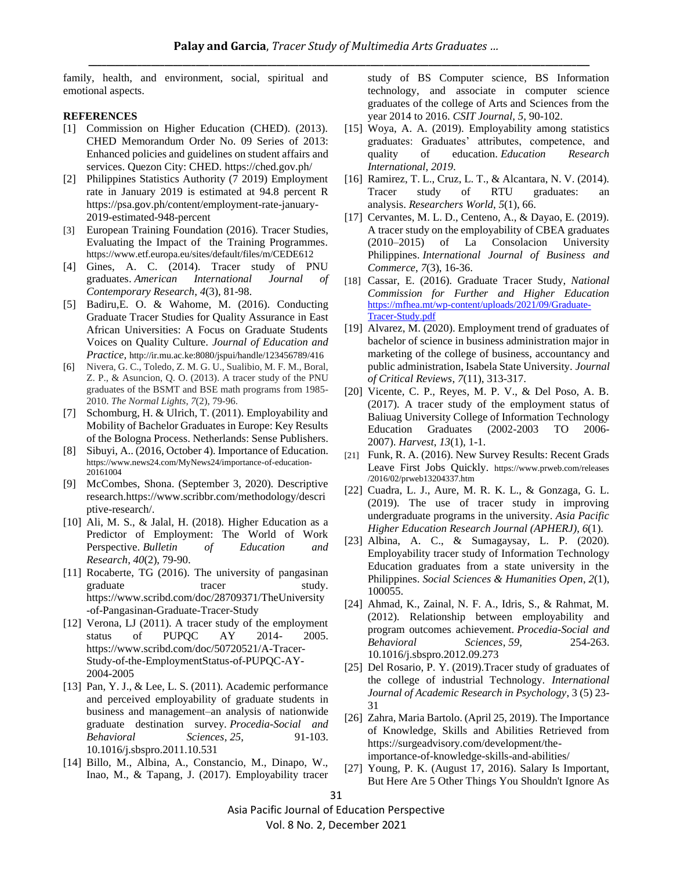family, health, and environment, social, spiritual and emotional aspects.

#### **REFERENCES**

- [1] Commission on Higher Education (CHED). (2013). CHED Memorandum Order No. 09 Series of 2013: Enhanced policies and guidelines on student affairs and services. Quezon City: CHED.<https://ched.gov.ph/>
- [2] Philippines Statistics Authority (7 2019) Employment rate in January 2019 is estimated at 94.8 percent R [https://psa.gov.ph/content/employment-rate-january-](https://psa.gov.ph/content/employment-rate-january-2019-estimated-948-)[2019-estimated-948-p](https://psa.gov.ph/content/employment-rate-january-2019-estimated-948-)ercent
- [3] European Training Foundation (2016). Tracer Studies, Evaluating the Impact of the Training Programmes. <https://www.etf.europa.eu/sites/default/files/m/CEDE612>
- [4] Gines, A. C. (2014). Tracer study of PNU graduates. *American International Journal of Contemporary Research*, *4*(3), 81-98.
- [5] Badiru,E. O. & Wahome, M. (2016). Conducting Graduate Tracer Studies for Quality Assurance in East African Universities: A Focus on Graduate Students Voices on Quality Culture. *Journal of Education and Practice,* http://ir.mu.ac.ke:8080/jspui/handle/123456789/416
- [6] Nivera, G. C., Toledo, Z. M. G. U., Sualibio, M. F. M., Boral, Z. P., & Asuncion, Q. O. (2013). A tracer study of the PNU graduates of the BSMT and BSE math programs from 1985- 2010. *The Normal Lights*, *7*(2), 79-96.
- [7] Schomburg, H. & Ulrich, T. (2011). Employability and Mobility of Bachelor Graduates in Europe: Key Results of the Bologna Process. Netherlands: Sense Publishers.
- [8] Sibuyi, A.. (2016, October 4). Importance of Education. [https://www.news24.com/MyNews24/importance-of-education-](https://www.news24.com/MyNews24/importance-of-education-20161004)[20161004](https://www.news24.com/MyNews24/importance-of-education-20161004)
- [9] McCombes, Shona. (September 3, 2020). Descriptive researc[h.https://www.scribbr.com/methodology/descri](https://www.scribbr.com/methodology/descriptive-research/) [ptive-research/.](https://www.scribbr.com/methodology/descriptive-research/)
- [10] Ali, M. S., & Jalal, H. (2018). Higher Education as a Predictor of Employment: The World of Work Perspective. *Bulletin of Education and Research*, *40*(2), 79-90.
- [11] Rocaberte, TG (2016). The university of pangasinan graduate tracer study. [https://www.scribd.com/doc/28709371/TheUniversity](https://www.scribd.com/doc/28709371/TheUniversity-of-Pangasinan-Graduate-Tracer-Study) [-of-Pangasinan-Graduate-Tracer-Study](https://www.scribd.com/doc/28709371/TheUniversity-of-Pangasinan-Graduate-Tracer-Study)
- [12] Verona, LJ (2011). A tracer study of the employment status of PUPQC AY 2014- 2005. [https://www.scribd.com/doc/50720521/A-Tracer-](https://www.scribd.com/doc/50720521/A-Tracer-Study-of-the-EmploymentStatus-of-PUPQC-AY-2004-2005)[Study-of-the-EmploymentStatus-of-PUPQC-AY-](https://www.scribd.com/doc/50720521/A-Tracer-Study-of-the-EmploymentStatus-of-PUPQC-AY-2004-2005)[2004-2005](https://www.scribd.com/doc/50720521/A-Tracer-Study-of-the-EmploymentStatus-of-PUPQC-AY-2004-2005)
- [13] Pan, Y. J., & Lee, L. S. (2011). Academic performance and perceived employability of graduate students in business and management–an analysis of nationwide graduate destination survey. *Procedia-Social and Behavioral Sciences*, *25*, 91-103. 10.1016/j.sbspro.2011.10.531
- [14] Billo, M., Albina, A., Constancio, M., Dinapo, W., Inao, M., & Tapang, J. (2017). Employability tracer

study of BS Computer science, BS Information technology, and associate in computer science graduates of the college of Arts and Sciences from the year 2014 to 2016. *CSIT Journal*, *5*, 90-102.

- [15] Woya, A. A. (2019). Employability among statistics graduates: Graduates' attributes, competence, and quality of education. *Education Research International*, *2019*.
- [16] Ramirez, T. L., Cruz, L. T., & Alcantara, N. V. (2014). Tracer study of RTU graduates: an analysis. *Researchers World*, *5*(1), 66.
- [17] Cervantes, M. L. D., Centeno, A., & Dayao, E. (2019). A tracer study on the employability of CBEA graduates (2010–2015) of La Consolacion University Philippines. *International Journal of Business and Commerce*, *7*(3), 16-36.
- [18] Cassar, E. (2016). Graduate Tracer Study, *National Commission for Further and Higher Education* [https://mfhea.mt/wp-content/uploads/2021/09/Graduate-](https://mfhea.mt/wp-content/uploads/2021/09/Graduate-Tracer-Study.pdf)[Tracer-Study.pdf](https://mfhea.mt/wp-content/uploads/2021/09/Graduate-Tracer-Study.pdf)
- [19] Alvarez, M. (2020). Employment trend of graduates of bachelor of science in business administration major in marketing of the college of business, accountancy and public administration, Isabela State University. *Journal of Critical Reviews*, *7*(11), 313-317.
- [20] Vicente, C. P., Reyes, M. P. V., & Del Poso, A. B. (2017). A tracer study of the employment status of Baliuag University College of Information Technology Education Graduates (2002-2003 TO 2006- 2007). *Harvest*, *13*(1), 1-1.
- [21] Funk, R. A. (2016). New Survey Results: Recent Grads Leave First Jobs Quickly. [https://www.prweb.com/releases](https://www.prweb.com/releases%20/2016/02/prweb13204337.htm)  [/2016/02/prweb13204337.htm](https://www.prweb.com/releases%20/2016/02/prweb13204337.htm)
- [22] Cuadra, L. J., Aure, M. R. K. L., & Gonzaga, G. L. (2019). The use of tracer study in improving undergraduate programs in the university. *Asia Pacific Higher Education Research Journal (APHERJ)*, *6*(1).
- [23] Albina, A. C., & Sumagaysay, L. P. (2020). Employability tracer study of Information Technology Education graduates from a state university in the Philippines. *Social Sciences & Humanities Open*, *2*(1), 100055.
- [24] Ahmad, K., Zainal, N. F. A., Idris, S., & Rahmat, M. (2012). Relationship between employability and program outcomes achievement. *Procedia-Social and Behavioral Sciences*, *59*, 254-263. 10.1016/j.sbspro.2012.09.273
- [25] Del Rosario, P. Y. (2019). Tracer study of graduates of the college of industrial Technology. *International Journal of Academic Research in Psychology*, 3 (5) 23- 31
- [26] Zahra, Maria Bartolo. (April 25, 2019). The Importance of Knowledge, Skills and Abilities Retrieved from [https://surgeadvisory.com/development/the](ttps://surgeadvisory.com/development/the-importance-of-k)[importance-of-kn](ttps://surgeadvisory.com/development/the-importance-of-k)owledge-skills-and-abilities/
- [27] Young, P. K. (August 17, 2016). Salary Is Important, But Here Are 5 Other Things You Shouldn't Ignore As